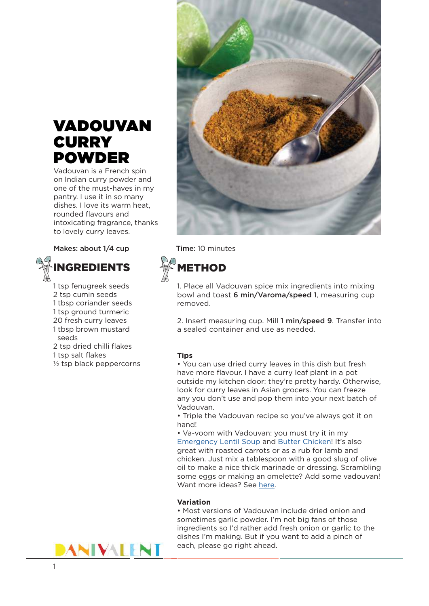## VADOUVAN **CURRY** POWDER

Vadouvan is a French spin on Indian curry powder and one of the must-haves in my pantry. I use it in so many dishes. I love its warm heat, rounded flavours and intoxicating fragrance, thanks to lovely curry leaves.

Makes: about 1/4 cup Time: 10 minutes



1 tsp fenugreek seeds 2 tsp cumin seeds 1 tbsp coriander seeds 1 tsp ground turmeric 20 fresh curry leaves 1 tbsp brown mustard seeds

2 tsp dried chilli flakes

1 tsp salt flakes

½ tsp black peppercorns



**METHOD** 

1. Place all Vadouvan spice mix ingredients into mixing bowl and toast 6 min/Varoma/speed 1, measuring cup removed.

2. Insert measuring cup. Mill 1 min/speed 9. Transfer into a sealed container and use as needed.

## **Tips**

• You can use dried curry leaves in this dish but fresh have more flavour. I have a curry leaf plant in a pot outside my kitchen door: they're pretty hardy. Otherwise, look for curry leaves in Asian grocers. You can freeze any you don't use and pop them into your next batch of Vadouvan.

• Triple the Vadouvan recipe so you've always got it on hand!

• Va-voom with Vadouvan: you must try it in my [Emergency Lentil Soup](https://danivalent.com/cook/recipes/emergency-lentil-soup-free-exclusive/) and [Butter Chicken!](https://danivalent.com/cook/recipes/butter-chicken-easy-thermomix-recipe/) It's also great with roasted carrots or as a rub for lamb and chicken. Just mix a tablespoon with a good slug of olive oil to make a nice thick marinade or dressing. Scrambling some eggs or making an omelette? Add some vadouvan! Want more ideas? See [here.](https://danivalent.com/cook/ingredients/vadouvan/)

## **Variation**

• Most versions of Vadouvan include dried onion and sometimes garlic powder. I'm not big fans of those ingredients so I'd rather add fresh onion or garlic to the dishes I'm making. But if you want to add a pinch of each, please go right ahead.